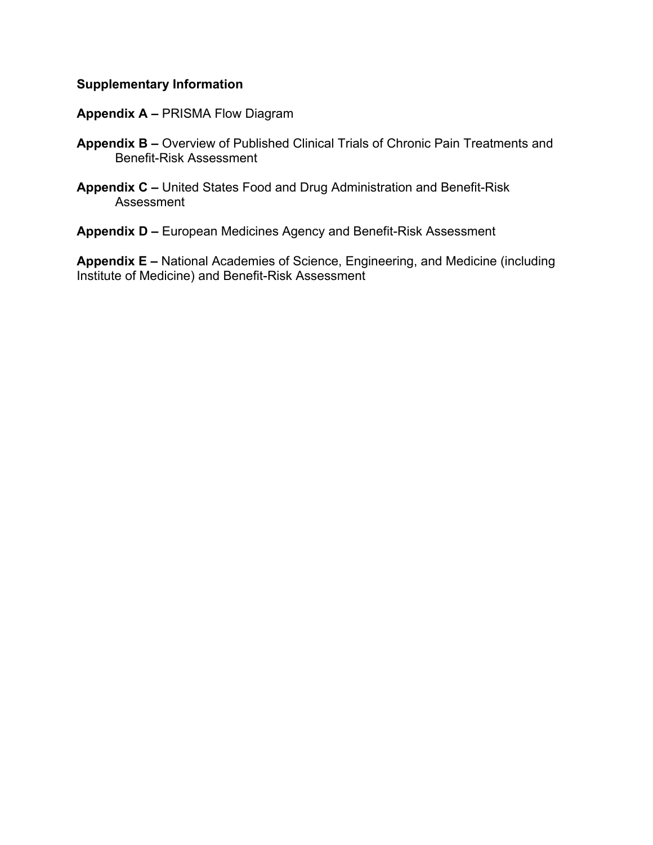### **Supplementary Information**

#### **Appendix A –** PRISMA Flow Diagram

- **Appendix B –** Overview of Published Clinical Trials of Chronic Pain Treatments and Benefit-Risk Assessment
- **Appendix C –** United States Food and Drug Administration and Benefit-Risk Assessment

**Appendix D –** European Medicines Agency and Benefit-Risk Assessment

**Appendix E –** National Academies of Science, Engineering, and Medicine (including Institute of Medicine) and Benefit-Risk Assessment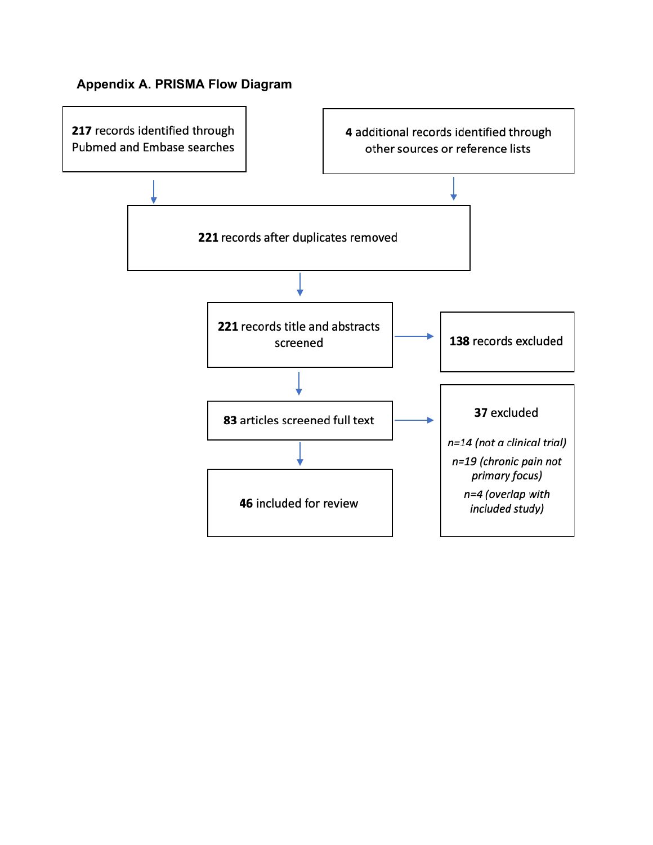## **Appendix A. PRISMA Flow Diagram**

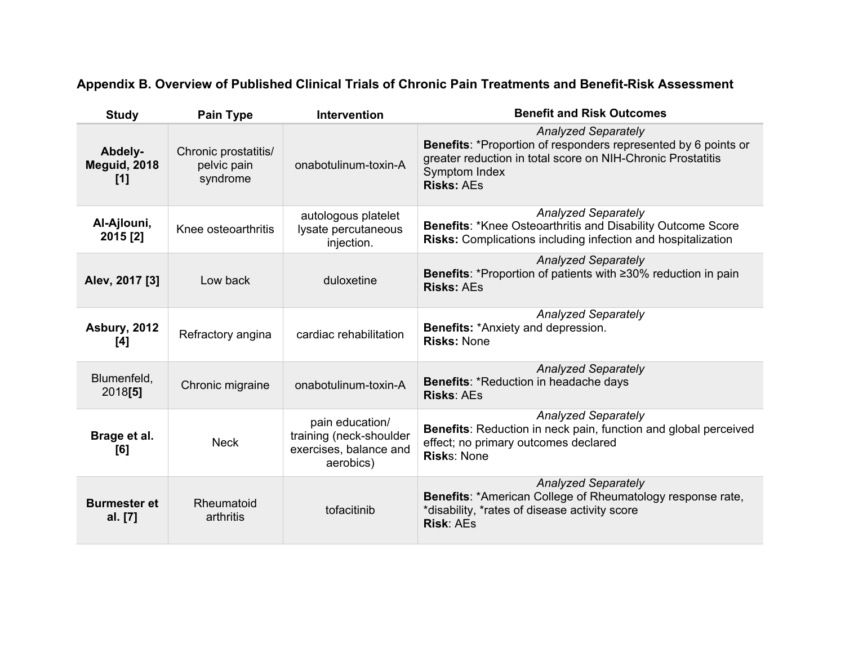# **Appendix B. Overview of Published Clinical Trials of Chronic Pain Treatments and Benefit-Risk Assessment**

| <b>Study</b>                   | <b>Pain Type</b>                                | Intervention                                                                      | <b>Benefit and Risk Outcomes</b>                                                                                                                                                                         |
|--------------------------------|-------------------------------------------------|-----------------------------------------------------------------------------------|----------------------------------------------------------------------------------------------------------------------------------------------------------------------------------------------------------|
| Abdely-<br>Meguid, 2018<br>[1] | Chronic prostatitis/<br>pelvic pain<br>syndrome | onabotulinum-toxin-A                                                              | <b>Analyzed Separately</b><br>Benefits: *Proportion of responders represented by 6 points or<br>greater reduction in total score on NIH-Chronic Prostatitis<br><b>Symptom Index</b><br><b>Risks: AEs</b> |
| Al-Ajlouni,<br>2015 [2]        | Knee osteoarthritis                             | autologous platelet<br>lysate percutaneous<br>injection.                          | <b>Analyzed Separately</b><br><b>Benefits: *Knee Osteoarthritis and Disability Outcome Score</b><br><b>Risks:</b> Complications including infection and hospitalization                                  |
| Alev, 2017 [3]                 | Low back                                        | duloxetine                                                                        | <b>Analyzed Separately</b><br><b>Benefits: *Proportion of patients with ≥30% reduction in pain</b><br><b>Risks: AEs</b>                                                                                  |
| <b>Asbury, 2012</b><br>[4]     | Refractory angina                               | cardiac rehabilitation                                                            | <b>Analyzed Separately</b><br>Benefits: *Anxiety and depression.<br><b>Risks: None</b>                                                                                                                   |
| Blumenfeld,<br>2018[5]         | Chronic migraine                                | onabotulinum-toxin-A                                                              | <b>Analyzed Separately</b><br>Benefits: *Reduction in headache days<br><b>Risks: AEs</b>                                                                                                                 |
| Brage et al.<br>[6]            | <b>Neck</b>                                     | pain education/<br>training (neck-shoulder<br>exercises, balance and<br>aerobics) | <b>Analyzed Separately</b><br>Benefits: Reduction in neck pain, function and global perceived<br>effect; no primary outcomes declared<br><b>Risks: None</b>                                              |
| <b>Burmester et</b><br>al. [7] | Rheumatoid<br>arthritis                         | tofacitinib                                                                       | <b>Analyzed Separately</b><br>Benefits: *American College of Rheumatology response rate,<br>*disability, *rates of disease activity score<br><b>Risk: AEs</b>                                            |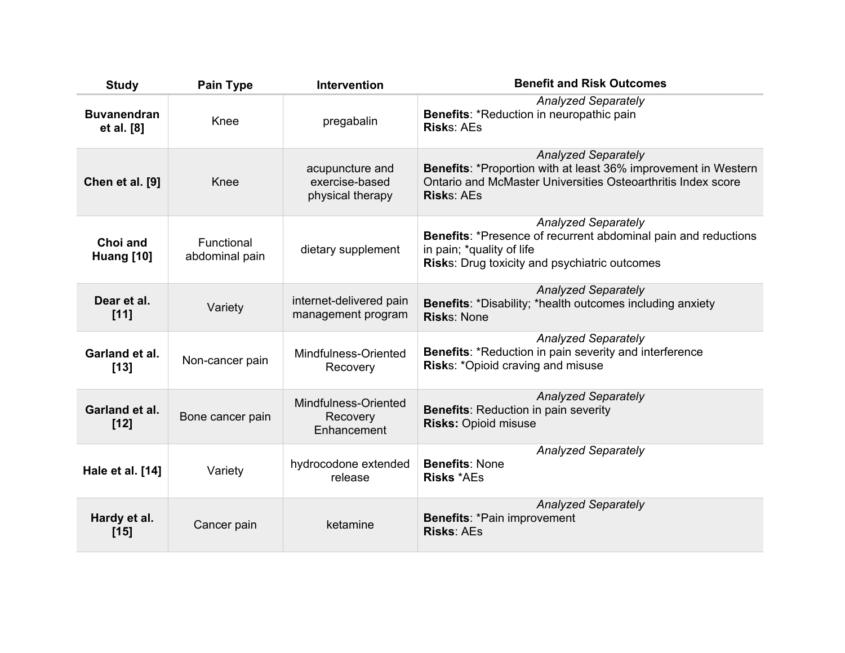| <b>Study</b>                     | <b>Pain Type</b>             | Intervention                                          | <b>Benefit and Risk Outcomes</b>                                                                                                                                                  |
|----------------------------------|------------------------------|-------------------------------------------------------|-----------------------------------------------------------------------------------------------------------------------------------------------------------------------------------|
| <b>Buvanendran</b><br>et al. [8] | Knee                         | pregabalin                                            | <b>Analyzed Separately</b><br><b>Benefits: *Reduction in neuropathic pain</b><br><b>Risks: AEs</b>                                                                                |
| Chen et al. [9]                  | Knee                         | acupuncture and<br>exercise-based<br>physical therapy | <b>Analyzed Separately</b><br>Benefits: *Proportion with at least 36% improvement in Western<br>Ontario and McMaster Universities Osteoarthritis Index score<br><b>Risks: AEs</b> |
| Choi and<br>Huang [10]           | Functional<br>abdominal pain | dietary supplement                                    | <b>Analyzed Separately</b><br>Benefits: *Presence of recurrent abdominal pain and reductions<br>in pain; *quality of life<br><b>Risks: Drug toxicity and psychiatric outcomes</b> |
| Dear et al.<br>$[11]$            | Variety                      | internet-delivered pain<br>management program         | <b>Analyzed Separately</b><br><b>Benefits: *Disability; *health outcomes including anxiety</b><br><b>Risks: None</b>                                                              |
| Garland et al.<br>$[13]$         | Non-cancer pain              | Mindfulness-Oriented<br>Recovery                      | <b>Analyzed Separately</b><br>Benefits: *Reduction in pain severity and interference<br>Risks: *Opioid craving and misuse                                                         |
| Garland et al.<br>$[12]$         | Bone cancer pain             | Mindfulness-Oriented<br>Recovery<br>Enhancement       | <b>Analyzed Separately</b><br><b>Benefits: Reduction in pain severity</b><br><b>Risks: Opioid misuse</b>                                                                          |
| Hale et al. [14]                 | Variety                      | hydrocodone extended<br>release                       | <b>Analyzed Separately</b><br><b>Benefits: None</b><br><b>Risks *AEs</b>                                                                                                          |
| Hardy et al.<br>$[15]$           | Cancer pain                  | ketamine                                              | <b>Analyzed Separately</b><br><b>Benefits: *Pain improvement</b><br><b>Risks: AEs</b>                                                                                             |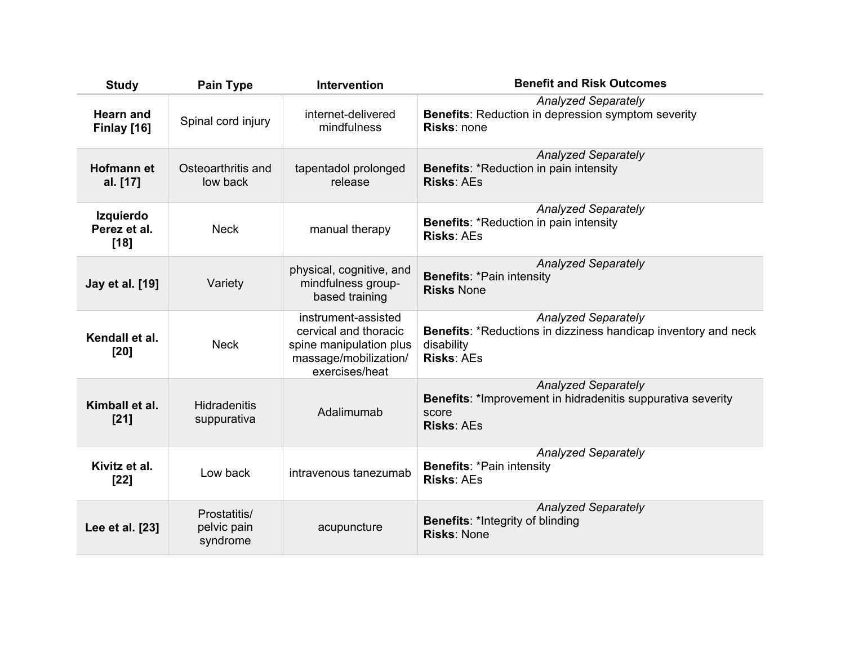| <b>Study</b>                               | <b>Pain Type</b>                        | <b>Intervention</b>                                                                                                | <b>Benefit and Risk Outcomes</b>                                                                                                       |
|--------------------------------------------|-----------------------------------------|--------------------------------------------------------------------------------------------------------------------|----------------------------------------------------------------------------------------------------------------------------------------|
| <b>Hearn and</b><br>Finlay [16]            | Spinal cord injury                      | internet-delivered<br>mindfulness                                                                                  | <b>Analyzed Separately</b><br><b>Benefits:</b> Reduction in depression symptom severity<br><b>Risks: none</b>                          |
| <b>Hofmann et</b><br>al. [17]              | Osteoarthritis and<br>low back          | tapentadol prolonged<br>release                                                                                    | <b>Analyzed Separately</b><br><b>Benefits: *Reduction in pain intensity</b><br><b>Risks: AEs</b>                                       |
| <b>Izquierdo</b><br>Perez et al.<br>$[18]$ | <b>Neck</b>                             | manual therapy                                                                                                     | <b>Analyzed Separately</b><br><b>Benefits: *Reduction in pain intensity</b><br><b>Risks: AEs</b>                                       |
| Jay et al. [19]                            | Variety                                 | physical, cognitive, and<br>mindfulness group-<br>based training                                                   | <b>Analyzed Separately</b><br><b>Benefits: *Pain intensity</b><br><b>Risks None</b>                                                    |
| Kendall et al.<br>$[20]$                   | <b>Neck</b>                             | instrument-assisted<br>cervical and thoracic<br>spine manipulation plus<br>massage/mobilization/<br>exercises/heat | <b>Analyzed Separately</b><br><b>Benefits: *Reductions in dizziness handicap inventory and neck</b><br>disability<br><b>Risks: AEs</b> |
| Kimball et al.<br>$[21]$                   | <b>Hidradenitis</b><br>suppurativa      | Adalimumab                                                                                                         | <b>Analyzed Separately</b><br>Benefits: *Improvement in hidradenitis suppurativa severity<br>score<br><b>Risks: AEs</b>                |
| Kivitz et al.<br>$[22]$                    | Low back                                | intravenous tanezumab                                                                                              | <b>Analyzed Separately</b><br><b>Benefits: *Pain intensity</b><br><b>Risks: AEs</b>                                                    |
| Lee et al. [23]                            | Prostatitis/<br>pelvic pain<br>syndrome | acupuncture                                                                                                        | <b>Analyzed Separately</b><br><b>Benefits: *Integrity of blinding</b><br><b>Risks: None</b>                                            |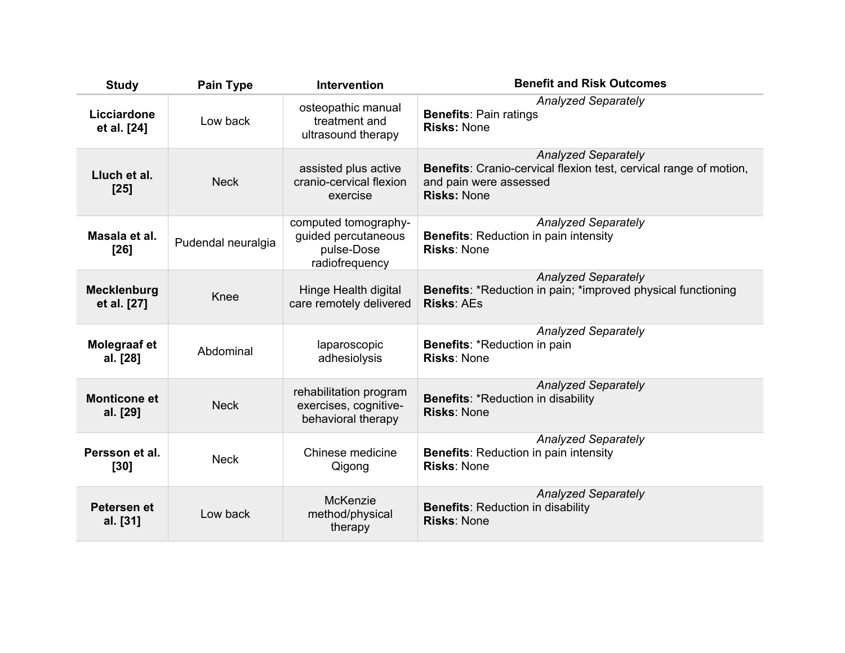| <b>Study</b>                      | <b>Pain Type</b>   | <b>Intervention</b>                                                         | <b>Benefit and Risk Outcomes</b>                                                                                                                |
|-----------------------------------|--------------------|-----------------------------------------------------------------------------|-------------------------------------------------------------------------------------------------------------------------------------------------|
| Licciardone<br>et al. [24]        | Low back           | osteopathic manual<br>treatment and<br>ultrasound therapy                   | <b>Analyzed Separately</b><br><b>Benefits: Pain ratings</b><br><b>Risks: None</b>                                                               |
| Lluch et al.<br>$[25]$            | <b>Neck</b>        | assisted plus active<br>cranio-cervical flexion<br>exercise                 | <b>Analyzed Separately</b><br>Benefits: Cranio-cervical flexion test, cervical range of motion,<br>and pain were assessed<br><b>Risks: None</b> |
| Masala et al.<br>$[26]$           | Pudendal neuralgia | computed tomography-<br>guided percutaneous<br>pulse-Dose<br>radiofrequency | <b>Analyzed Separately</b><br><b>Benefits: Reduction in pain intensity</b><br><b>Risks: None</b>                                                |
| <b>Mecklenburg</b><br>et al. [27] | Knee               | Hinge Health digital<br>care remotely delivered                             | <b>Analyzed Separately</b><br><b>Benefits: *Reduction in pain; *improved physical functioning</b><br><b>Risks: AEs</b>                          |
| Molegraaf et<br>al. [28]          | Abdominal          | laparoscopic<br>adhesiolysis                                                | <b>Analyzed Separately</b><br><b>Benefits: *Reduction in pain</b><br><b>Risks: None</b>                                                         |
| <b>Monticone et</b><br>al. [29]   | <b>Neck</b>        | rehabilitation program<br>exercises, cognitive-<br>behavioral therapy       | <b>Analyzed Separately</b><br><b>Benefits: *Reduction in disability</b><br><b>Risks: None</b>                                                   |
| Persson et al.<br>$[30]$          | <b>Neck</b>        | Chinese medicine<br>Qigong                                                  | <b>Analyzed Separately</b><br><b>Benefits: Reduction in pain intensity</b><br><b>Risks: None</b>                                                |
| Petersen et<br>al. [31]           | Low back           | McKenzie<br>method/physical<br>therapy                                      | <b>Analyzed Separately</b><br><b>Benefits: Reduction in disability</b><br><b>Risks: None</b>                                                    |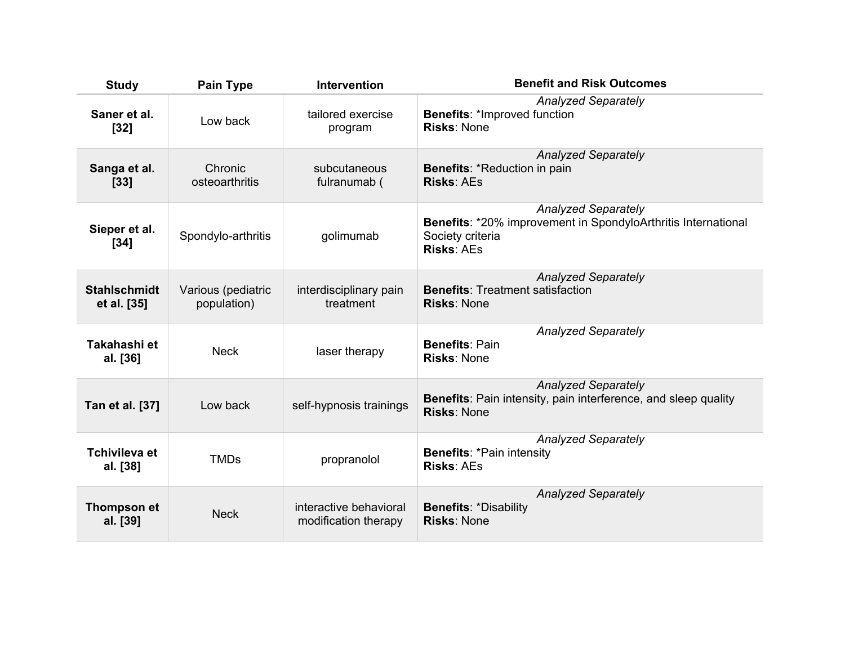| <b>Study</b>                       | <b>Pain Type</b>                  | <b>Intervention</b>                            | <b>Benefit and Risk Outcomes</b>                                                                                                            |
|------------------------------------|-----------------------------------|------------------------------------------------|---------------------------------------------------------------------------------------------------------------------------------------------|
| Saner et al.<br>$[32]$             | Low back                          | tailored exercise<br>program                   | <b>Analyzed Separately</b><br><b>Benefits: *Improved function</b><br><b>Risks: None</b>                                                     |
| Sanga et al.<br>$[33]$             | Chronic<br>osteoarthritis         | subcutaneous<br>fulranumab (                   | <b>Analyzed Separately</b><br><b>Benefits: *Reduction in pain</b><br><b>Risks: AEs</b>                                                      |
| Sieper et al.<br>$[34]$            | Spondylo-arthritis                | golimumab                                      | <b>Analyzed Separately</b><br><b>Benefits: *20% improvement in SpondyloArthritis International</b><br>Society criteria<br><b>Risks: AEs</b> |
| <b>Stahlschmidt</b><br>et al. [35] | Various (pediatric<br>population) | interdisciplinary pain<br>treatment            | <b>Analyzed Separately</b><br><b>Benefits: Treatment satisfaction</b><br><b>Risks: None</b>                                                 |
| Takahashi et<br>al. [36]           | <b>Neck</b>                       | laser therapy                                  | <b>Analyzed Separately</b><br><b>Benefits: Pain</b><br><b>Risks: None</b>                                                                   |
| Tan et al. [37]                    | Low back                          | self-hypnosis trainings                        | <b>Analyzed Separately</b><br><b>Benefits:</b> Pain intensity, pain interference, and sleep quality<br><b>Risks: None</b>                   |
| <b>Tchivileva et</b><br>al. [38]   | <b>TMDs</b>                       | propranolol                                    | <b>Analyzed Separately</b><br><b>Benefits: *Pain intensity</b><br><b>Risks: AEs</b>                                                         |
| Thompson et<br>al. [39]            | <b>Neck</b>                       | interactive behavioral<br>modification therapy | <b>Analyzed Separately</b><br><b>Benefits: *Disability</b><br><b>Risks: None</b>                                                            |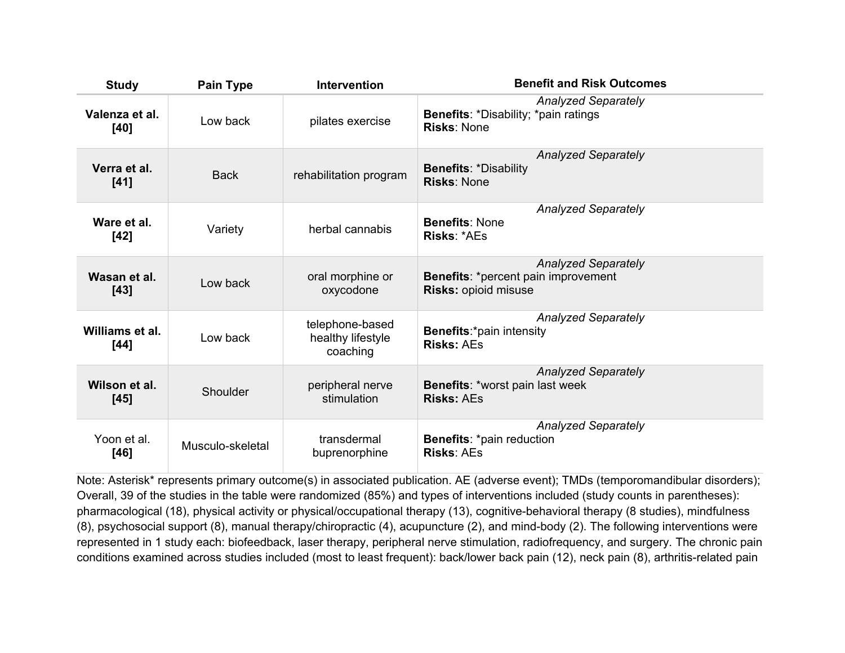| <b>Study</b>            | <b>Pain Type</b> | <b>Intervention</b>                              | <b>Benefit and Risk Outcomes</b>                                                                        |
|-------------------------|------------------|--------------------------------------------------|---------------------------------------------------------------------------------------------------------|
| Valenza et al.<br>[40]  | Low back         | pilates exercise                                 | <b>Analyzed Separately</b><br><b>Benefits: *Disability; *pain ratings</b><br><b>Risks: None</b>         |
| Verra et al.<br>$[41]$  | <b>Back</b>      | rehabilitation program                           | <b>Analyzed Separately</b><br><b>Benefits: *Disability</b><br><b>Risks: None</b>                        |
| Ware et al.<br>$[42]$   | Variety          | herbal cannabis                                  | <b>Analyzed Separately</b><br><b>Benefits: None</b><br><b>Risks: *AEs</b>                               |
| Wasan et al.<br>$[43]$  | Low back         | oral morphine or<br>oxycodone                    | <b>Analyzed Separately</b><br><b>Benefits: *percent pain improvement</b><br><b>Risks: opioid misuse</b> |
| Williams et al.<br>[44] | Low back         | telephone-based<br>healthy lifestyle<br>coaching | <b>Analyzed Separately</b><br><b>Benefits:*pain intensity</b><br><b>Risks: AEs</b>                      |
| Wilson et al.<br>$[45]$ | Shoulder         | peripheral nerve<br>stimulation                  | <b>Analyzed Separately</b><br><b>Benefits: *worst pain last week</b><br><b>Risks: AEs</b>               |
| Yoon et al.<br>$[46]$   | Musculo-skeletal | transdermal<br>buprenorphine                     | <b>Analyzed Separately</b><br><b>Benefits: *pain reduction</b><br><b>Risks: AEs</b>                     |

Note: Asterisk\* represents primary outcome(s) in associated publication. AE (adverse event); TMDs (temporomandibular disorders); Overall, 39 of the studies in the table were randomized (85%) and types of interventions included (study counts in parentheses): pharmacological (18), physical activity or physical/occupational therapy (13), cognitive-behavioral therapy (8 studies), mindfulness (8), psychosocial support (8), manual therapy/chiropractic (4), acupuncture (2), and mind-body (2). The following interventions were represented in 1 study each: biofeedback, laser therapy, peripheral nerve stimulation, radiofrequency, and surgery. The chronic pain conditions examined across studies included (most to least frequent): back/lower back pain (12), neck pain (8), arthritis-related pain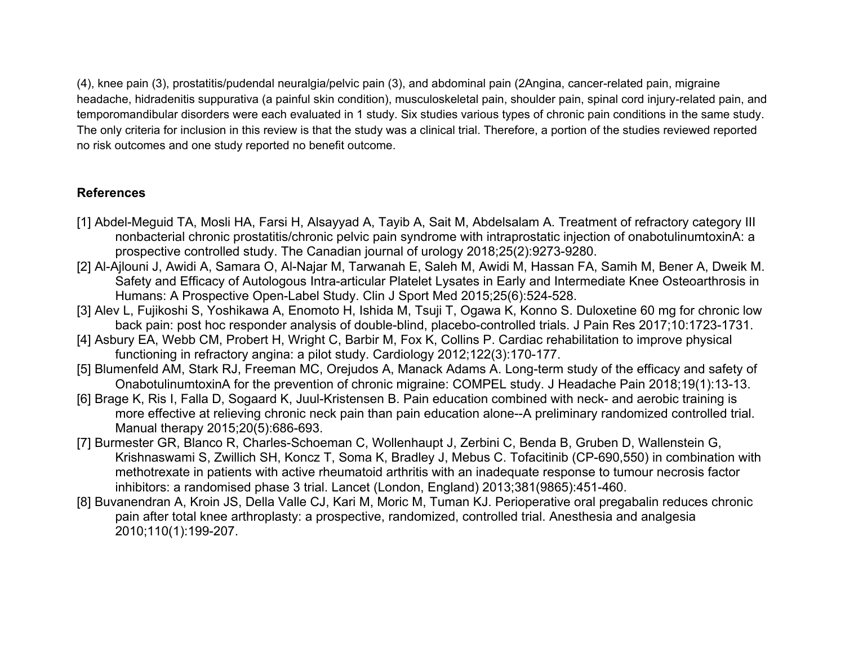(4), knee pain (3), prostatitis/pudendal neuralgia/pelvic pain (3), and abdominal pain (2Angina, cancer-related pain, migraine headache, hidradenitis suppurativa (a painful skin condition), musculoskeletal pain, shoulder pain, spinal cord injury-related pain, and temporomandibular disorders were each evaluated in 1 study. Six studies various types of chronic pain conditions in the same study. The only criteria for inclusion in this review is that the study was a clinical trial. Therefore, a portion of the studies reviewed reported no risk outcomes and one study reported no benefit outcome.

### **References**

- [1] Abdel-Meguid TA, Mosli HA, Farsi H, Alsayyad A, Tayib A, Sait M, Abdelsalam A. Treatment of refractory category III nonbacterial chronic prostatitis/chronic pelvic pain syndrome with intraprostatic injection of onabotulinumtoxinA: a prospective controlled study. The Canadian journal of urology 2018;25(2):9273-9280.
- [2] Al-Ajlouni J, Awidi A, Samara O, Al-Najar M, Tarwanah E, Saleh M, Awidi M, Hassan FA, Samih M, Bener A, Dweik M. Safety and Efficacy of Autologous Intra-articular Platelet Lysates in Early and Intermediate Knee Osteoarthrosis in Humans: A Prospective Open-Label Study. Clin J Sport Med 2015;25(6):524-528.
- [3] Alev L, Fujikoshi S, Yoshikawa A, Enomoto H, Ishida M, Tsuji T, Ogawa K, Konno S. Duloxetine 60 mg for chronic low back pain: post hoc responder analysis of double-blind, placebo-controlled trials. J Pain Res 2017;10:1723-1731.
- [4] Asbury EA, Webb CM, Probert H, Wright C, Barbir M, Fox K, Collins P. Cardiac rehabilitation to improve physical functioning in refractory angina: a pilot study. Cardiology 2012;122(3):170-177.
- [5] Blumenfeld AM, Stark RJ, Freeman MC, Orejudos A, Manack Adams A. Long-term study of the efficacy and safety of OnabotulinumtoxinA for the prevention of chronic migraine: COMPEL study. J Headache Pain 2018;19(1):13-13.
- [6] Brage K, Ris I, Falla D, Sogaard K, Juul-Kristensen B. Pain education combined with neck- and aerobic training is more effective at relieving chronic neck pain than pain education alone--A preliminary randomized controlled trial. Manual therapy 2015;20(5):686-693.
- [7] Burmester GR, Blanco R, Charles-Schoeman C, Wollenhaupt J, Zerbini C, Benda B, Gruben D, Wallenstein G, Krishnaswami S, Zwillich SH, Koncz T, Soma K, Bradley J, Mebus C. Tofacitinib (CP-690,550) in combination with methotrexate in patients with active rheumatoid arthritis with an inadequate response to tumour necrosis factor inhibitors: a randomised phase 3 trial. Lancet (London, England) 2013;381(9865):451-460.
- [8] Buvanendran A, Kroin JS, Della Valle CJ, Kari M, Moric M, Tuman KJ. Perioperative oral pregabalin reduces chronic pain after total knee arthroplasty: a prospective, randomized, controlled trial. Anesthesia and analgesia 2010;110(1):199-207.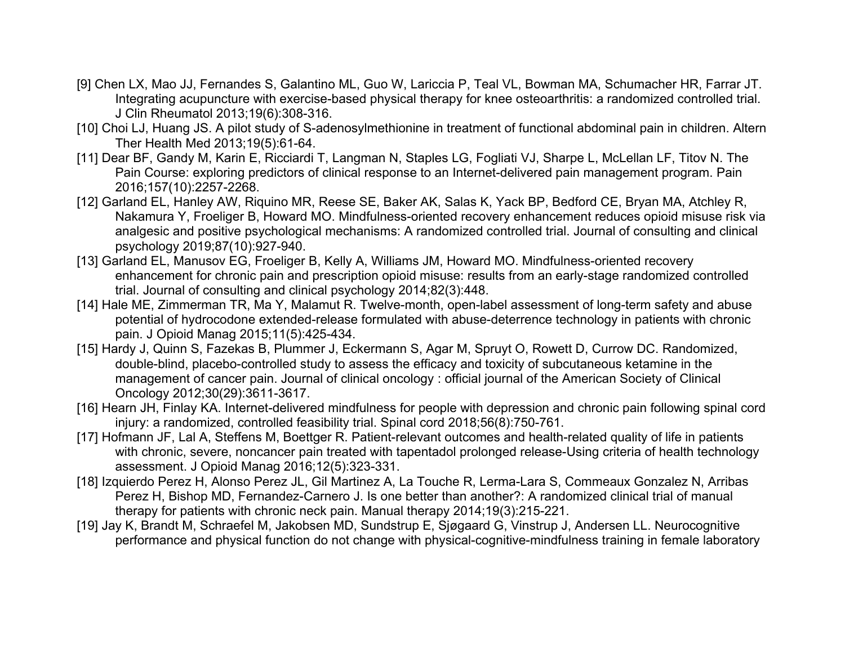- [9] Chen LX, Mao JJ, Fernandes S, Galantino ML, Guo W, Lariccia P, Teal VL, Bowman MA, Schumacher HR, Farrar JT. Integrating acupuncture with exercise-based physical therapy for knee osteoarthritis: a randomized controlled trial. J Clin Rheumatol 2013;19(6):308-316.
- [10] Choi LJ, Huang JS. A pilot study of S-adenosylmethionine in treatment of functional abdominal pain in children. Altern Ther Health Med 2013;19(5):61-64.
- [11] Dear BF, Gandy M, Karin E, Ricciardi T, Langman N, Staples LG, Fogliati VJ, Sharpe L, McLellan LF, Titov N. The Pain Course: exploring predictors of clinical response to an Internet-delivered pain management program. Pain 2016;157(10):2257-2268.
- [12] Garland EL, Hanley AW, Riquino MR, Reese SE, Baker AK, Salas K, Yack BP, Bedford CE, Bryan MA, Atchley R, Nakamura Y, Froeliger B, Howard MO. Mindfulness-oriented recovery enhancement reduces opioid misuse risk via analgesic and positive psychological mechanisms: A randomized controlled trial. Journal of consulting and clinical psychology 2019;87(10):927-940.
- [13] Garland EL, Manusov EG, Froeliger B, Kelly A, Williams JM, Howard MO. Mindfulness-oriented recovery enhancement for chronic pain and prescription opioid misuse: results from an early-stage randomized controlled trial. Journal of consulting and clinical psychology 2014;82(3):448.
- [14] Hale ME, Zimmerman TR, Ma Y, Malamut R. Twelve-month, open-label assessment of long-term safety and abuse potential of hydrocodone extended-release formulated with abuse-deterrence technology in patients with chronic pain. J Opioid Manag 2015;11(5):425-434.
- [15] Hardy J, Quinn S, Fazekas B, Plummer J, Eckermann S, Agar M, Spruyt O, Rowett D, Currow DC. Randomized, double-blind, placebo-controlled study to assess the efficacy and toxicity of subcutaneous ketamine in the management of cancer pain. Journal of clinical oncology : official journal of the American Society of Clinical Oncology 2012;30(29):3611-3617.
- [16] Hearn JH, Finlay KA. Internet-delivered mindfulness for people with depression and chronic pain following spinal cord injury: a randomized, controlled feasibility trial. Spinal cord 2018;56(8):750-761.
- [17] Hofmann JF, Lal A, Steffens M, Boettger R. Patient-relevant outcomes and health-related quality of life in patients with chronic, severe, noncancer pain treated with tapentadol prolonged release-Using criteria of health technology assessment. J Opioid Manag 2016;12(5):323-331.
- [18] Izquierdo Perez H, Alonso Perez JL, Gil Martinez A, La Touche R, Lerma-Lara S, Commeaux Gonzalez N, Arribas Perez H, Bishop MD, Fernandez-Carnero J. Is one better than another?: A randomized clinical trial of manual therapy for patients with chronic neck pain. Manual therapy 2014;19(3):215-221.
- [19] Jay K, Brandt M, Schraefel M, Jakobsen MD, Sundstrup E, Sjøgaard G, Vinstrup J, Andersen LL. Neurocognitive performance and physical function do not change with physical-cognitive-mindfulness training in female laboratory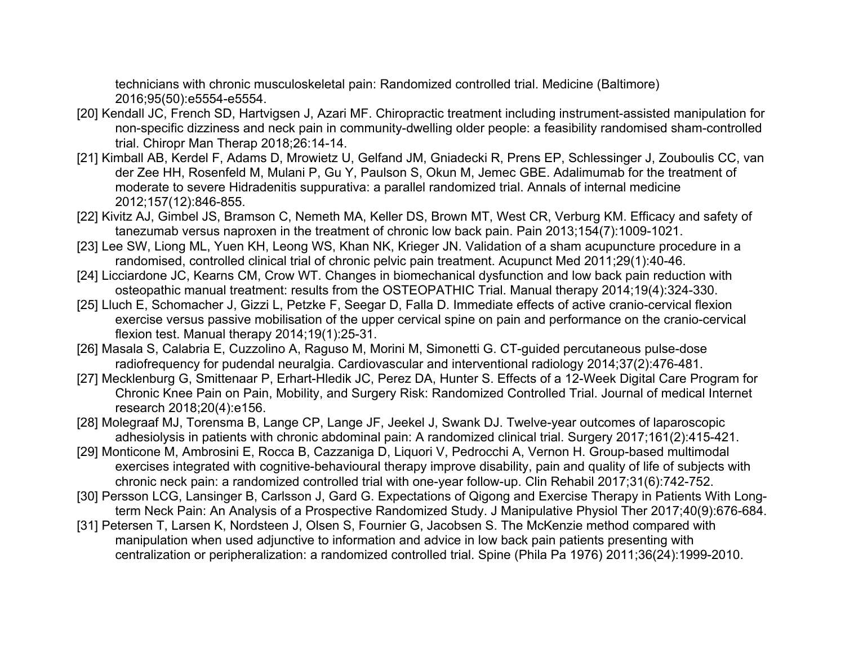technicians with chronic musculoskeletal pain: Randomized controlled trial. Medicine (Baltimore) 2016;95(50):e5554-e5554.

- [20] Kendall JC, French SD, Hartvigsen J, Azari MF. Chiropractic treatment including instrument-assisted manipulation for non-specific dizziness and neck pain in community-dwelling older people: a feasibility randomised sham-controlled trial. Chiropr Man Therap 2018;26:14-14.
- [21] Kimball AB, Kerdel F, Adams D, Mrowietz U, Gelfand JM, Gniadecki R, Prens EP, Schlessinger J, Zouboulis CC, van der Zee HH, Rosenfeld M, Mulani P, Gu Y, Paulson S, Okun M, Jemec GBE. Adalimumab for the treatment of moderate to severe Hidradenitis suppurativa: a parallel randomized trial. Annals of internal medicine 2012;157(12):846-855.
- [22] Kivitz AJ, Gimbel JS, Bramson C, Nemeth MA, Keller DS, Brown MT, West CR, Verburg KM. Efficacy and safety of tanezumab versus naproxen in the treatment of chronic low back pain. Pain 2013;154(7):1009-1021.
- [23] Lee SW, Liong ML, Yuen KH, Leong WS, Khan NK, Krieger JN. Validation of a sham acupuncture procedure in a randomised, controlled clinical trial of chronic pelvic pain treatment. Acupunct Med 2011;29(1):40-46.
- [24] Licciardone JC, Kearns CM, Crow WT. Changes in biomechanical dysfunction and low back pain reduction with osteopathic manual treatment: results from the OSTEOPATHIC Trial. Manual therapy 2014;19(4):324-330.
- [25] Lluch E, Schomacher J, Gizzi L, Petzke F, Seegar D, Falla D. Immediate effects of active cranio-cervical flexion exercise versus passive mobilisation of the upper cervical spine on pain and performance on the cranio-cervical flexion test. Manual therapy 2014;19(1):25-31.
- [26] Masala S, Calabria E, Cuzzolino A, Raguso M, Morini M, Simonetti G. CT-guided percutaneous pulse-dose radiofrequency for pudendal neuralgia. Cardiovascular and interventional radiology 2014;37(2):476-481.
- [27] Mecklenburg G, Smittenaar P, Erhart-Hledik JC, Perez DA, Hunter S. Effects of a 12-Week Digital Care Program for Chronic Knee Pain on Pain, Mobility, and Surgery Risk: Randomized Controlled Trial. Journal of medical Internet research 2018;20(4):e156.
- [28] Molegraaf MJ, Torensma B, Lange CP, Lange JF, Jeekel J, Swank DJ. Twelve-year outcomes of laparoscopic adhesiolysis in patients with chronic abdominal pain: A randomized clinical trial. Surgery 2017;161(2):415-421.
- [29] Monticone M, Ambrosini E, Rocca B, Cazzaniga D, Liquori V, Pedrocchi A, Vernon H. Group-based multimodal exercises integrated with cognitive-behavioural therapy improve disability, pain and quality of life of subjects with chronic neck pain: a randomized controlled trial with one-year follow-up. Clin Rehabil 2017;31(6):742-752.
- [30] Persson LCG, Lansinger B, Carlsson J, Gard G. Expectations of Qigong and Exercise Therapy in Patients With Longterm Neck Pain: An Analysis of a Prospective Randomized Study. J Manipulative Physiol Ther 2017;40(9):676-684.
- [31] Petersen T, Larsen K, Nordsteen J, Olsen S, Fournier G, Jacobsen S. The McKenzie method compared with manipulation when used adjunctive to information and advice in low back pain patients presenting with centralization or peripheralization: a randomized controlled trial. Spine (Phila Pa 1976) 2011;36(24):1999-2010.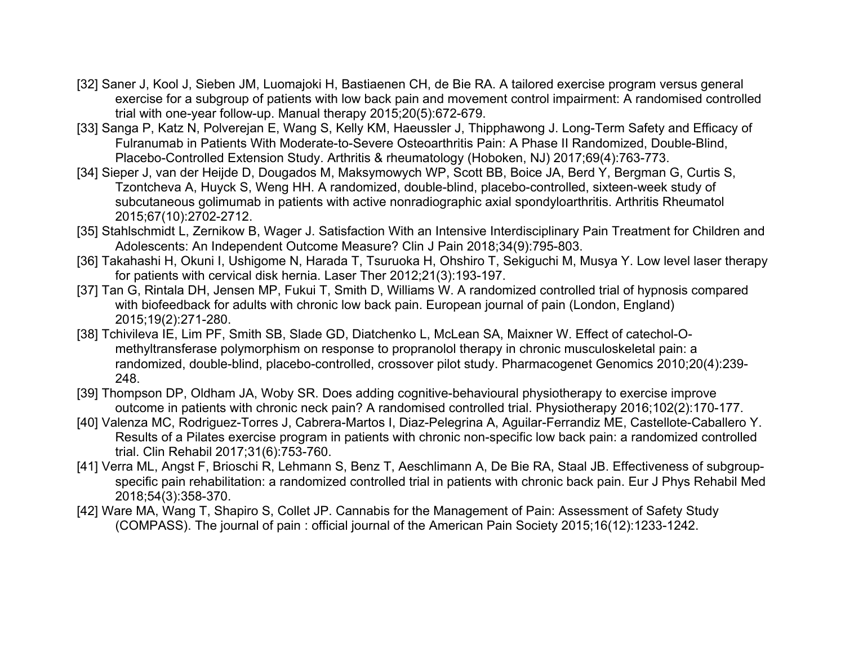- [32] Saner J, Kool J, Sieben JM, Luomajoki H, Bastiaenen CH, de Bie RA. A tailored exercise program versus general exercise for a subgroup of patients with low back pain and movement control impairment: A randomised controlled trial with one-year follow-up. Manual therapy 2015;20(5):672-679.
- [33] Sanga P, Katz N, Polverejan E, Wang S, Kelly KM, Haeussler J, Thipphawong J. Long-Term Safety and Efficacy of Fulranumab in Patients With Moderate-to-Severe Osteoarthritis Pain: A Phase II Randomized, Double-Blind, Placebo-Controlled Extension Study. Arthritis & rheumatology (Hoboken, NJ) 2017;69(4):763-773.
- [34] Sieper J, van der Heijde D, Dougados M, Maksymowych WP, Scott BB, Boice JA, Berd Y, Bergman G, Curtis S, Tzontcheva A, Huyck S, Weng HH. A randomized, double-blind, placebo-controlled, sixteen-week study of subcutaneous golimumab in patients with active nonradiographic axial spondyloarthritis. Arthritis Rheumatol 2015;67(10):2702-2712.
- [35] Stahlschmidt L, Zernikow B, Wager J. Satisfaction With an Intensive Interdisciplinary Pain Treatment for Children and Adolescents: An Independent Outcome Measure? Clin J Pain 2018;34(9):795-803.
- [36] Takahashi H, Okuni I, Ushigome N, Harada T, Tsuruoka H, Ohshiro T, Sekiguchi M, Musya Y. Low level laser therapy for patients with cervical disk hernia. Laser Ther 2012;21(3):193-197.
- [37] Tan G, Rintala DH, Jensen MP, Fukui T, Smith D, Williams W. A randomized controlled trial of hypnosis compared with biofeedback for adults with chronic low back pain. European journal of pain (London, England) 2015;19(2):271-280.
- [38] Tchivileva IE, Lim PF, Smith SB, Slade GD, Diatchenko L, McLean SA, Maixner W. Effect of catechol-Omethyltransferase polymorphism on response to propranolol therapy in chronic musculoskeletal pain: a randomized, double-blind, placebo-controlled, crossover pilot study. Pharmacogenet Genomics 2010;20(4):239- 248.
- [39] Thompson DP, Oldham JA, Woby SR. Does adding cognitive-behavioural physiotherapy to exercise improve outcome in patients with chronic neck pain? A randomised controlled trial. Physiotherapy 2016;102(2):170-177.
- [40] Valenza MC, Rodriguez-Torres J, Cabrera-Martos I, Diaz-Pelegrina A, Aguilar-Ferrandiz ME, Castellote-Caballero Y. Results of a Pilates exercise program in patients with chronic non-specific low back pain: a randomized controlled trial. Clin Rehabil 2017;31(6):753-760.
- [41] Verra ML, Angst F, Brioschi R, Lehmann S, Benz T, Aeschlimann A, De Bie RA, Staal JB. Effectiveness of subgroupspecific pain rehabilitation: a randomized controlled trial in patients with chronic back pain. Eur J Phys Rehabil Med 2018;54(3):358-370.
- [42] Ware MA, Wang T, Shapiro S, Collet JP. Cannabis for the Management of Pain: Assessment of Safety Study (COMPASS). The journal of pain : official journal of the American Pain Society 2015;16(12):1233-1242.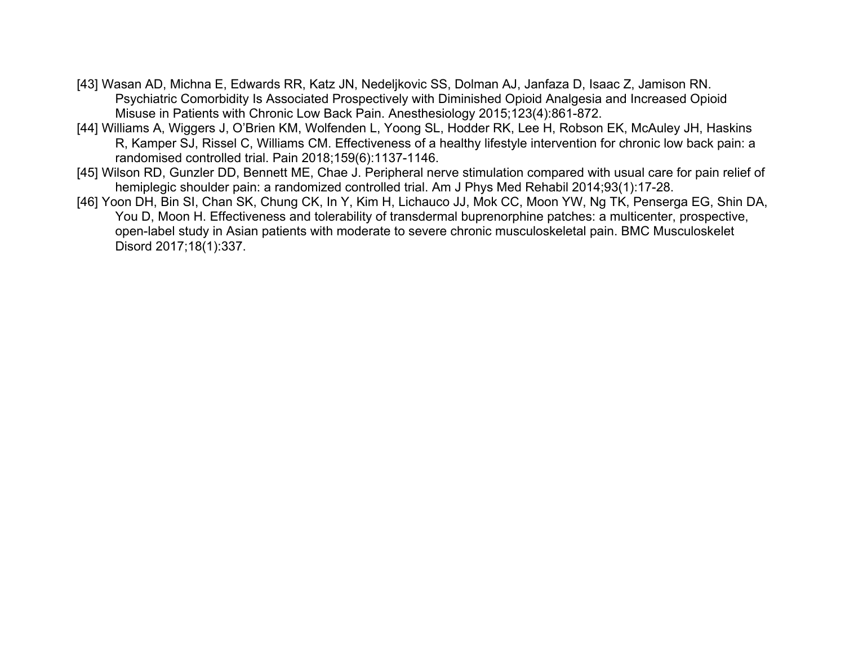- [43] Wasan AD, Michna E, Edwards RR, Katz JN, Nedeljkovic SS, Dolman AJ, Janfaza D, Isaac Z, Jamison RN. Psychiatric Comorbidity Is Associated Prospectively with Diminished Opioid Analgesia and Increased Opioid Misuse in Patients with Chronic Low Back Pain. Anesthesiology 2015;123(4):861-872.
- [44] Williams A, Wiggers J, O'Brien KM, Wolfenden L, Yoong SL, Hodder RK, Lee H, Robson EK, McAuley JH, Haskins R, Kamper SJ, Rissel C, Williams CM. Effectiveness of a healthy lifestyle intervention for chronic low back pain: a randomised controlled trial. Pain 2018;159(6):1137-1146.
- [45] Wilson RD, Gunzler DD, Bennett ME, Chae J. Peripheral nerve stimulation compared with usual care for pain relief of hemiplegic shoulder pain: a randomized controlled trial. Am J Phys Med Rehabil 2014;93(1):17-28.
- [46] Yoon DH, Bin SI, Chan SK, Chung CK, In Y, Kim H, Lichauco JJ, Mok CC, Moon YW, Ng TK, Penserga EG, Shin DA, You D, Moon H. Effectiveness and tolerability of transdermal buprenorphine patches: a multicenter, prospective, open-label study in Asian patients with moderate to severe chronic musculoskeletal pain. BMC Musculoskelet Disord 2017;18(1):337.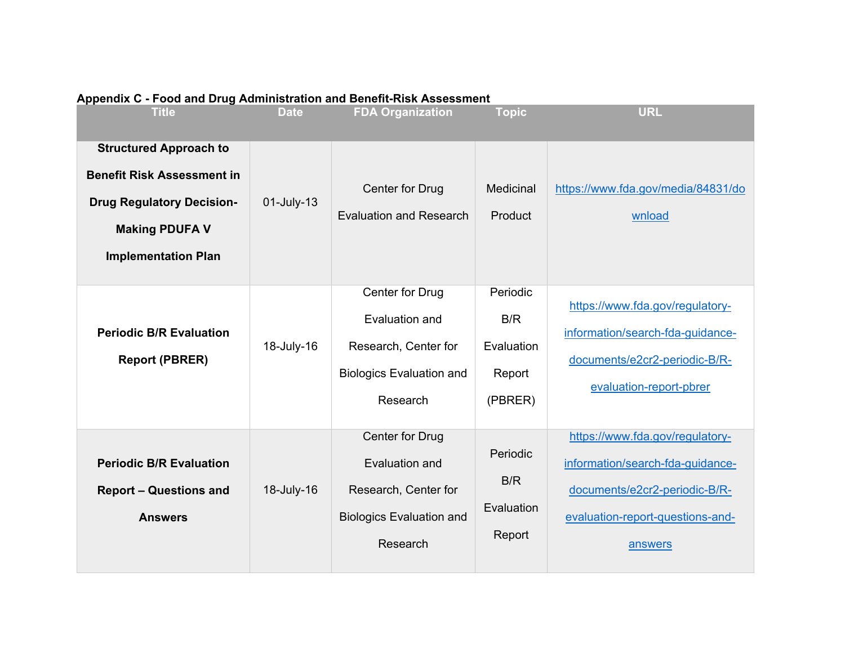| <b>Title</b>                                                                                                                                                  | <b>Date</b> | <b>FDA Organization</b>                                                                                  | <b>Topic</b>                                       | <b>URL</b>                                                                                                                                          |
|---------------------------------------------------------------------------------------------------------------------------------------------------------------|-------------|----------------------------------------------------------------------------------------------------------|----------------------------------------------------|-----------------------------------------------------------------------------------------------------------------------------------------------------|
| <b>Structured Approach to</b><br><b>Benefit Risk Assessment in</b><br><b>Drug Regulatory Decision-</b><br><b>Making PDUFA V</b><br><b>Implementation Plan</b> | 01-July-13  | Center for Drug<br><b>Evaluation and Research</b>                                                        | Medicinal<br>Product                               | https://www.fda.gov/media/84831/do<br>wnload                                                                                                        |
| <b>Periodic B/R Evaluation</b><br><b>Report (PBRER)</b>                                                                                                       | 18-July-16  | Center for Drug<br>Evaluation and<br>Research, Center for<br><b>Biologics Evaluation and</b><br>Research | Periodic<br>B/R<br>Evaluation<br>Report<br>(PBRER) | https://www.fda.gov/regulatory-<br>information/search-fda-guidance-<br>documents/e2cr2-periodic-B/R-<br>evaluation-report-pbrer                     |
| <b>Periodic B/R Evaluation</b><br><b>Report - Questions and</b><br><b>Answers</b>                                                                             | 18-July-16  | Center for Drug<br>Evaluation and<br>Research, Center for<br><b>Biologics Evaluation and</b><br>Research | Periodic<br>B/R<br>Evaluation<br>Report            | https://www.fda.gov/regulatory-<br>information/search-fda-guidance-<br>documents/e2cr2-periodic-B/R-<br>evaluation-report-questions-and-<br>answers |

### **Appendix C - Food and Drug Administration and Benefit-Risk Assessment**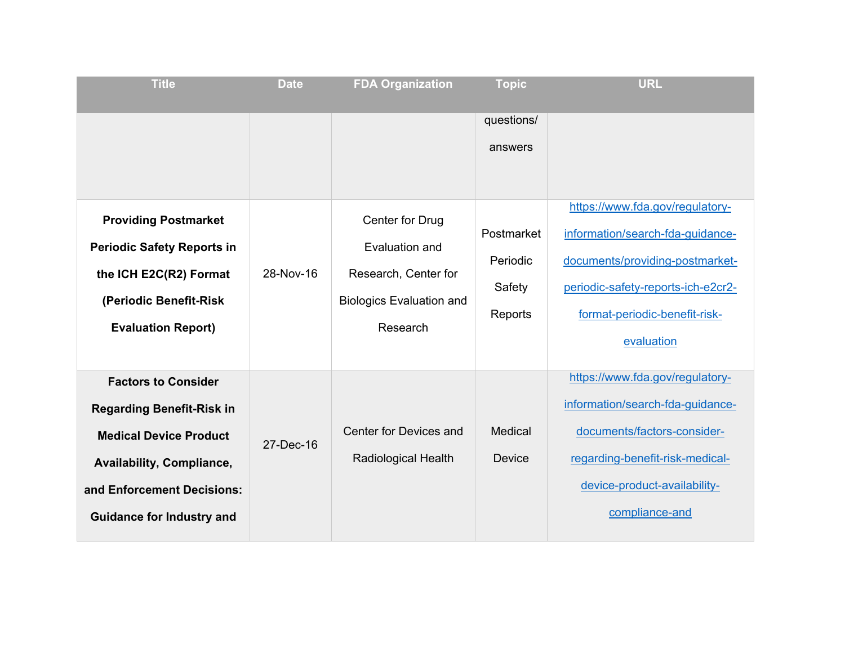| <b>Title</b>                                                                                                                                                                                   | <b>Date</b> | <b>FDA Organization</b>                                                                                  | <b>Topic</b>                                | <b>URL</b>                                                                                                                                                                              |
|------------------------------------------------------------------------------------------------------------------------------------------------------------------------------------------------|-------------|----------------------------------------------------------------------------------------------------------|---------------------------------------------|-----------------------------------------------------------------------------------------------------------------------------------------------------------------------------------------|
|                                                                                                                                                                                                |             |                                                                                                          | questions/<br>answers                       | https://www.fda.gov/regulatory-                                                                                                                                                         |
| <b>Providing Postmarket</b><br><b>Periodic Safety Reports in</b><br>the ICH E2C(R2) Format<br>(Periodic Benefit-Risk<br><b>Evaluation Report)</b>                                              | 28-Nov-16   | Center for Drug<br>Evaluation and<br>Research, Center for<br><b>Biologics Evaluation and</b><br>Research | Postmarket<br>Periodic<br>Safety<br>Reports | information/search-fda-guidance-<br>documents/providing-postmarket-<br>periodic-safety-reports-ich-e2cr2-<br>format-periodic-benefit-risk-<br>evaluation                                |
| <b>Factors to Consider</b><br><b>Regarding Benefit-Risk in</b><br><b>Medical Device Product</b><br>Availability, Compliance,<br>and Enforcement Decisions:<br><b>Guidance for Industry and</b> | 27-Dec-16   | <b>Center for Devices and</b><br><b>Radiological Health</b>                                              | Medical<br>Device                           | https://www.fda.gov/regulatory-<br>information/search-fda-guidance-<br>documents/factors-consider-<br>regarding-benefit-risk-medical-<br>device-product-availability-<br>compliance-and |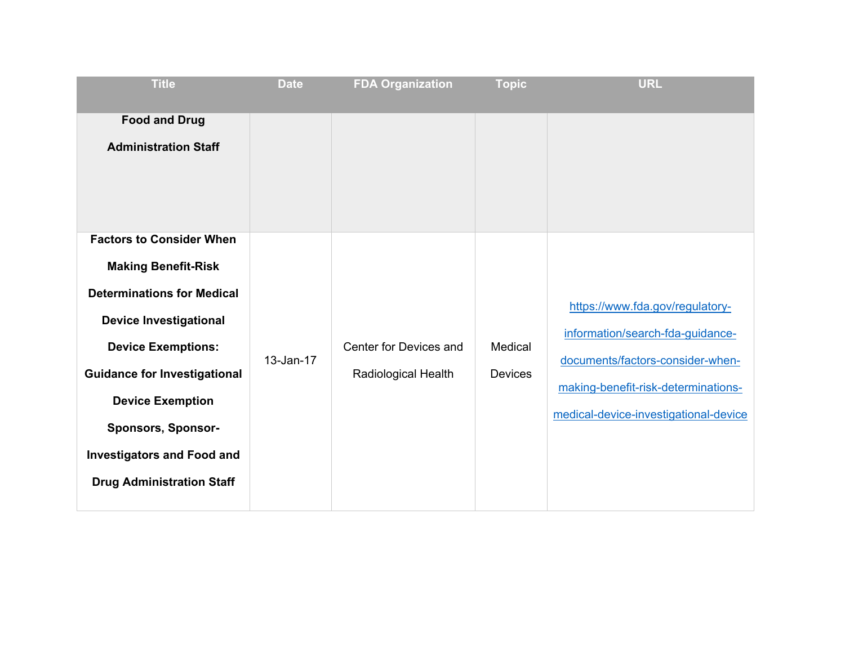| <b>Title</b>                                                                                                                                                                                                                                                                                                                             | <b>Date</b> | <b>FDA Organization</b>                              | <b>Topic</b>              | <b>URL</b>                                                                                                                                                                              |
|------------------------------------------------------------------------------------------------------------------------------------------------------------------------------------------------------------------------------------------------------------------------------------------------------------------------------------------|-------------|------------------------------------------------------|---------------------------|-----------------------------------------------------------------------------------------------------------------------------------------------------------------------------------------|
| <b>Food and Drug</b><br><b>Administration Staff</b>                                                                                                                                                                                                                                                                                      |             |                                                      |                           |                                                                                                                                                                                         |
| <b>Factors to Consider When</b><br><b>Making Benefit-Risk</b><br><b>Determinations for Medical</b><br><b>Device Investigational</b><br><b>Device Exemptions:</b><br><b>Guidance for Investigational</b><br><b>Device Exemption</b><br><b>Sponsors, Sponsor-</b><br><b>Investigators and Food and</b><br><b>Drug Administration Staff</b> | 13-Jan-17   | Center for Devices and<br><b>Radiological Health</b> | Medical<br><b>Devices</b> | https://www.fda.gov/regulatory-<br>information/search-fda-guidance-<br>documents/factors-consider-when-<br>making-benefit-risk-determinations-<br>medical-device-investigational-device |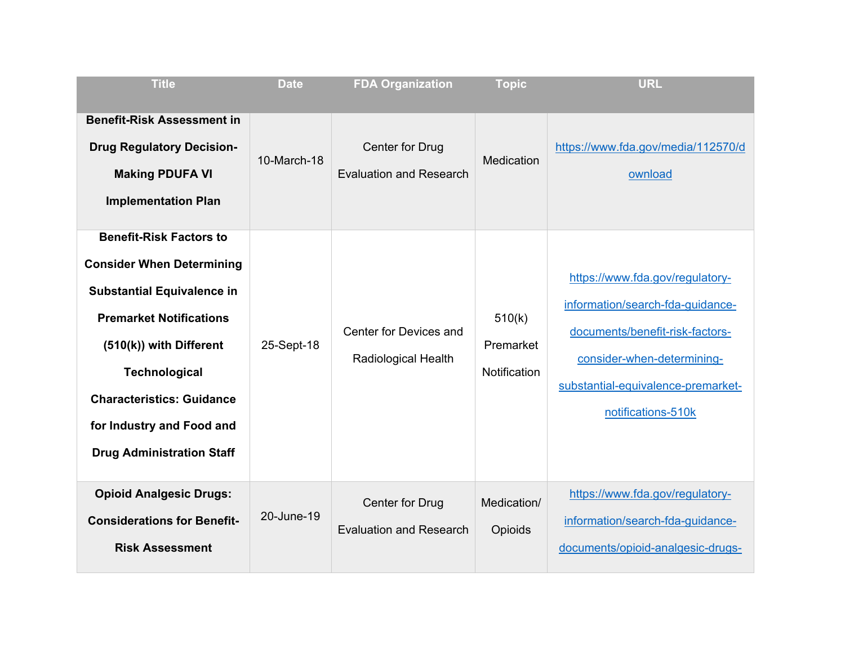| <b>Title</b>                                                                                                                                                                                                                                                                                      | <b>Date</b> | <b>FDA Organization</b>                              | <b>Topic</b>                        | <b>URL</b>                                                                                                                                                                                       |
|---------------------------------------------------------------------------------------------------------------------------------------------------------------------------------------------------------------------------------------------------------------------------------------------------|-------------|------------------------------------------------------|-------------------------------------|--------------------------------------------------------------------------------------------------------------------------------------------------------------------------------------------------|
| <b>Benefit-Risk Assessment in</b><br><b>Drug Regulatory Decision-</b><br><b>Making PDUFA VI</b><br><b>Implementation Plan</b>                                                                                                                                                                     | 10-March-18 | Center for Drug<br><b>Evaluation and Research</b>    | Medication                          | https://www.fda.gov/media/112570/d<br>ownload                                                                                                                                                    |
| <b>Benefit-Risk Factors to</b><br><b>Consider When Determining</b><br><b>Substantial Equivalence in</b><br><b>Premarket Notifications</b><br>(510(k)) with Different<br><b>Technological</b><br><b>Characteristics: Guidance</b><br>for Industry and Food and<br><b>Drug Administration Staff</b> | 25-Sept-18  | Center for Devices and<br><b>Radiological Health</b> | 510(k)<br>Premarket<br>Notification | https://www.fda.gov/regulatory-<br>information/search-fda-guidance-<br>documents/benefit-risk-factors-<br>consider-when-determining-<br>substantial-equivalence-premarket-<br>notifications-510k |
| <b>Opioid Analgesic Drugs:</b><br><b>Considerations for Benefit-</b><br><b>Risk Assessment</b>                                                                                                                                                                                                    | 20-June-19  | Center for Drug<br><b>Evaluation and Research</b>    | Medication/<br>Opioids              | https://www.fda.gov/regulatory-<br>information/search-fda-guidance-<br>documents/opioid-analgesic-drugs-                                                                                         |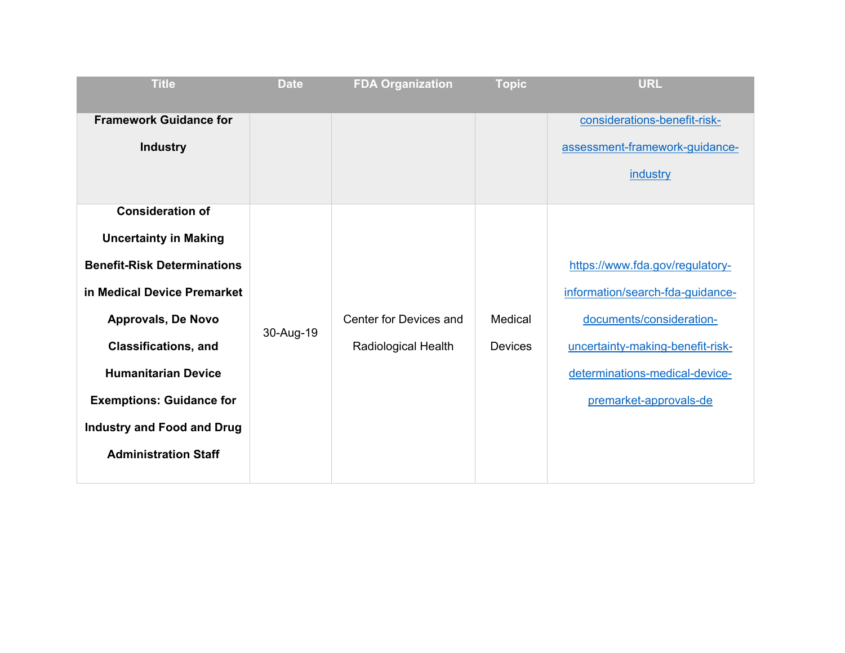| <b>Title</b>                                                                                                                                                     | <b>Date</b> | <b>FDA Organization</b>    | <b>Topic</b>   | <b>URL</b>                                                                                      |
|------------------------------------------------------------------------------------------------------------------------------------------------------------------|-------------|----------------------------|----------------|-------------------------------------------------------------------------------------------------|
| <b>Framework Guidance for</b><br><b>Industry</b>                                                                                                                 |             |                            |                | considerations-benefit-risk-<br>assessment-framework-guidance-<br>industry                      |
| <b>Consideration of</b><br><b>Uncertainty in Making</b><br><b>Benefit-Risk Determinations</b><br>in Medical Device Premarket<br><b>Approvals, De Novo</b>        | 30-Aug-19   | Center for Devices and     | Medical        | https://www.fda.gov/regulatory-<br>information/search-fda-guidance-<br>documents/consideration- |
| <b>Classifications, and</b><br><b>Humanitarian Device</b><br><b>Exemptions: Guidance for</b><br><b>Industry and Food and Drug</b><br><b>Administration Staff</b> |             | <b>Radiological Health</b> | <b>Devices</b> | uncertainty-making-benefit-risk-<br>determinations-medical-device-<br>premarket-approvals-de    |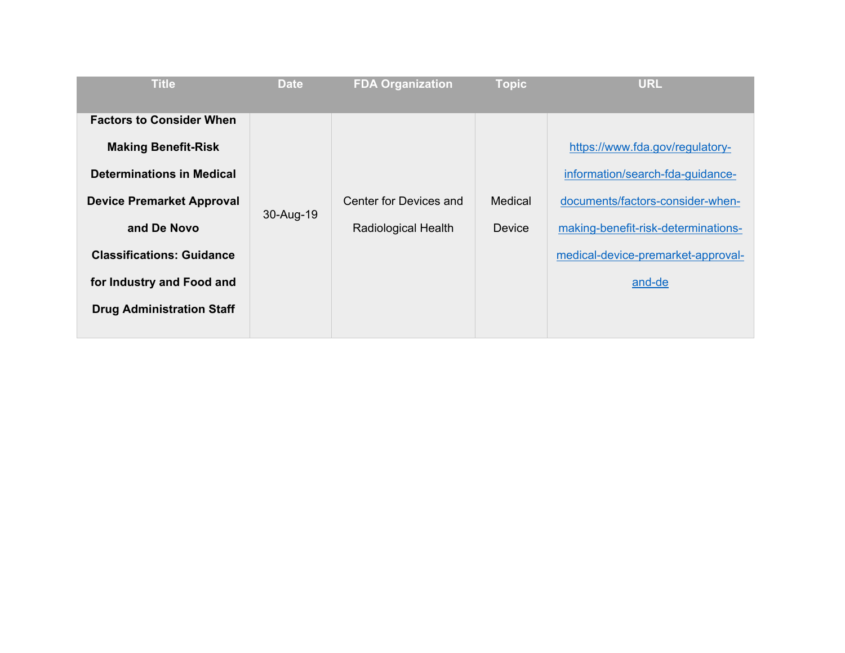| <b>Title</b>                                                                                                                                                                                                                                              | <b>Date</b> | <b>FDA Organization</b>                              | <b>Topic</b>      | <b>URL</b>                                                                                                                                                                                     |
|-----------------------------------------------------------------------------------------------------------------------------------------------------------------------------------------------------------------------------------------------------------|-------------|------------------------------------------------------|-------------------|------------------------------------------------------------------------------------------------------------------------------------------------------------------------------------------------|
| <b>Factors to Consider When</b><br><b>Making Benefit-Risk</b><br><b>Determinations in Medical</b><br><b>Device Premarket Approval</b><br>and De Novo<br><b>Classifications: Guidance</b><br>for Industry and Food and<br><b>Drug Administration Staff</b> | 30-Aug-19   | Center for Devices and<br><b>Radiological Health</b> | Medical<br>Device | https://www.fda.gov/regulatory-<br>information/search-fda-guidance-<br>documents/factors-consider-when-<br>making-benefit-risk-determinations-<br>medical-device-premarket-approval-<br>and-de |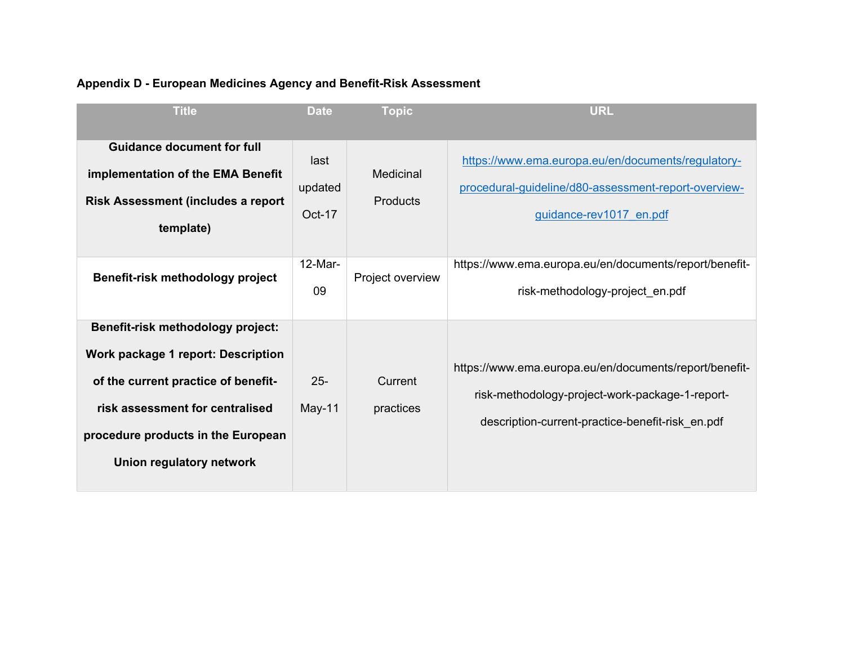| <b>Title</b>                              | <b>Date</b>   | <b>Topic</b>     | <b>URL</b>                                             |
|-------------------------------------------|---------------|------------------|--------------------------------------------------------|
|                                           |               |                  |                                                        |
| <b>Guidance document for full</b>         | last          |                  | https://www.ema.europa.eu/en/documents/regulatory-     |
| implementation of the EMA Benefit         |               | Medicinal        |                                                        |
| <b>Risk Assessment (includes a report</b> | updated       | <b>Products</b>  | procedural-guideline/d80-assessment-report-overview-   |
|                                           | <b>Oct-17</b> |                  | guidance-rev1017 en.pdf                                |
| template)                                 |               |                  |                                                        |
|                                           |               |                  |                                                        |
| Benefit-risk methodology project          | $12-Mar-$     | Project overview | https://www.ema.europa.eu/en/documents/report/benefit- |
|                                           | 09            |                  | risk-methodology-project en.pdf                        |
|                                           |               |                  |                                                        |
| <b>Benefit-risk methodology project:</b>  |               |                  |                                                        |
| Work package 1 report: Description        |               |                  |                                                        |
|                                           | $25 -$        |                  | https://www.ema.europa.eu/en/documents/report/benefit- |
| of the current practice of benefit-       |               | Current          | risk-methodology-project-work-package-1-report-        |
| risk assessment for centralised           | $May-11$      | practices        |                                                        |
| procedure products in the European        |               |                  | description-current-practice-benefit-risk en.pdf       |
|                                           |               |                  |                                                        |
| Union regulatory network                  |               |                  |                                                        |
|                                           |               |                  |                                                        |

# **Appendix D - European Medicines Agency and Benefit-Risk Assessment**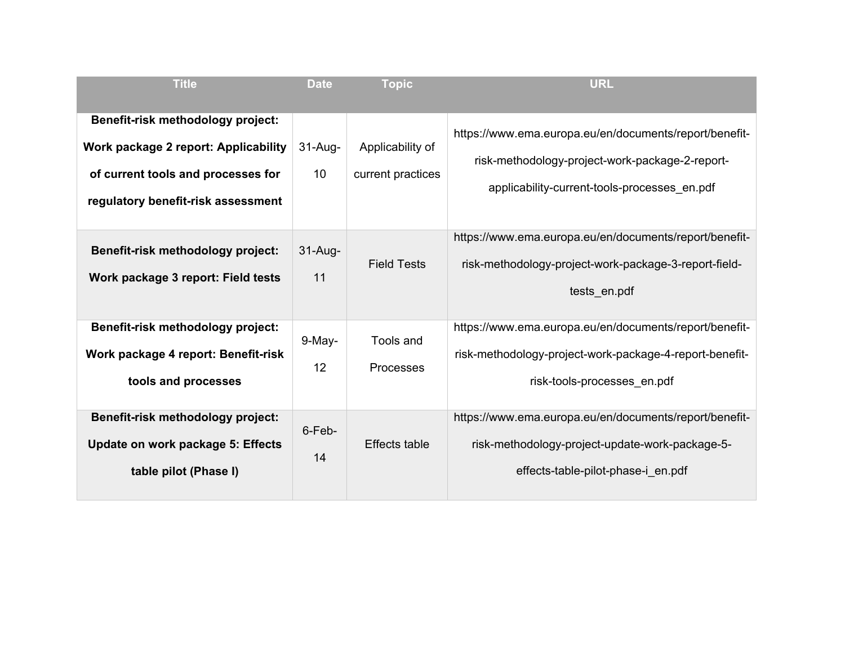| <b>Title</b>                                | <b>Date</b> | <b>Topic</b>         | <b>URL</b>                                              |
|---------------------------------------------|-------------|----------------------|---------------------------------------------------------|
|                                             |             |                      |                                                         |
| <b>Benefit-risk methodology project:</b>    |             |                      | https://www.ema.europa.eu/en/documents/report/benefit-  |
| <b>Work package 2 report: Applicability</b> | $31-Au$ g-  | Applicability of     |                                                         |
|                                             |             |                      | risk-methodology-project-work-package-2-report-         |
| of current tools and processes for          | 10          | current practices    | applicability-current-tools-processes en.pdf            |
| regulatory benefit-risk assessment          |             |                      |                                                         |
|                                             |             |                      |                                                         |
|                                             |             |                      | https://www.ema.europa.eu/en/documents/report/benefit-  |
| <b>Benefit-risk methodology project:</b>    | $31-Au$ g-  | <b>Field Tests</b>   | risk-methodology-project-work-package-3-report-field-   |
| Work package 3 report: Field tests          | 11          |                      |                                                         |
|                                             |             |                      | tests en.pdf                                            |
| Benefit-risk methodology project:           |             |                      | https://www.ema.europa.eu/en/documents/report/benefit-  |
|                                             | $9-May-$    | <b>Tools and</b>     |                                                         |
| Work package 4 report: Benefit-risk         |             |                      | risk-methodology-project-work-package-4-report-benefit- |
| tools and processes                         | 12          | <b>Processes</b>     | risk-tools-processes en.pdf                             |
|                                             |             |                      |                                                         |
| <b>Benefit-risk methodology project:</b>    |             |                      | https://www.ema.europa.eu/en/documents/report/benefit-  |
|                                             | 6-Feb-      | <b>Effects table</b> |                                                         |
| Update on work package 5: Effects           | 14          |                      | risk-methodology-project-update-work-package-5-         |
| table pilot (Phase I)                       |             |                      | effects-table-pilot-phase-i en.pdf                      |
|                                             |             |                      |                                                         |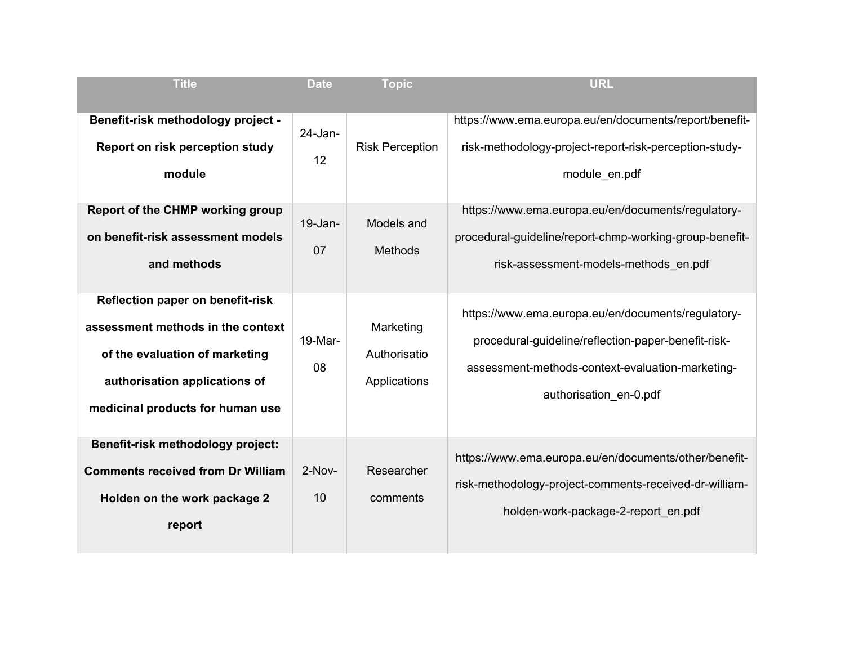| <b>Title</b>                                                                                                                                                                        | <b>Date</b>                            | <b>Topic</b>                                           | <b>URL</b>                                                                                                                                                                                                                                                                                  |
|-------------------------------------------------------------------------------------------------------------------------------------------------------------------------------------|----------------------------------------|--------------------------------------------------------|---------------------------------------------------------------------------------------------------------------------------------------------------------------------------------------------------------------------------------------------------------------------------------------------|
|                                                                                                                                                                                     |                                        |                                                        |                                                                                                                                                                                                                                                                                             |
| Benefit-risk methodology project -<br>Report on risk perception study<br>module<br><b>Report of the CHMP working group</b><br>on benefit-risk assessment models<br>and methods      | $24$ -Jan-<br>12<br>$19 - Jan -$<br>07 | <b>Risk Perception</b><br>Models and<br><b>Methods</b> | https://www.ema.europa.eu/en/documents/report/benefit-<br>risk-methodology-project-report-risk-perception-study-<br>module en.pdf<br>https://www.ema.europa.eu/en/documents/regulatory-<br>procedural-guideline/report-chmp-working-group-benefit-<br>risk-assessment-models-methods en.pdf |
|                                                                                                                                                                                     |                                        |                                                        |                                                                                                                                                                                                                                                                                             |
| <b>Reflection paper on benefit-risk</b><br>assessment methods in the context<br>of the evaluation of marketing<br>authorisation applications of<br>medicinal products for human use | 19-Mar-<br>08                          | Marketing<br>Authorisatio<br>Applications              | https://www.ema.europa.eu/en/documents/regulatory-<br>procedural-guideline/reflection-paper-benefit-risk-<br>assessment-methods-context-evaluation-marketing-<br>authorisation en-0.pdf                                                                                                     |
| <b>Benefit-risk methodology project:</b><br><b>Comments received from Dr William</b><br>Holden on the work package 2<br>report                                                      | $2-Nov-$<br>10                         | Researcher<br>comments                                 | https://www.ema.europa.eu/en/documents/other/benefit-<br>risk-methodology-project-comments-received-dr-william-<br>holden-work-package-2-report en.pdf                                                                                                                                      |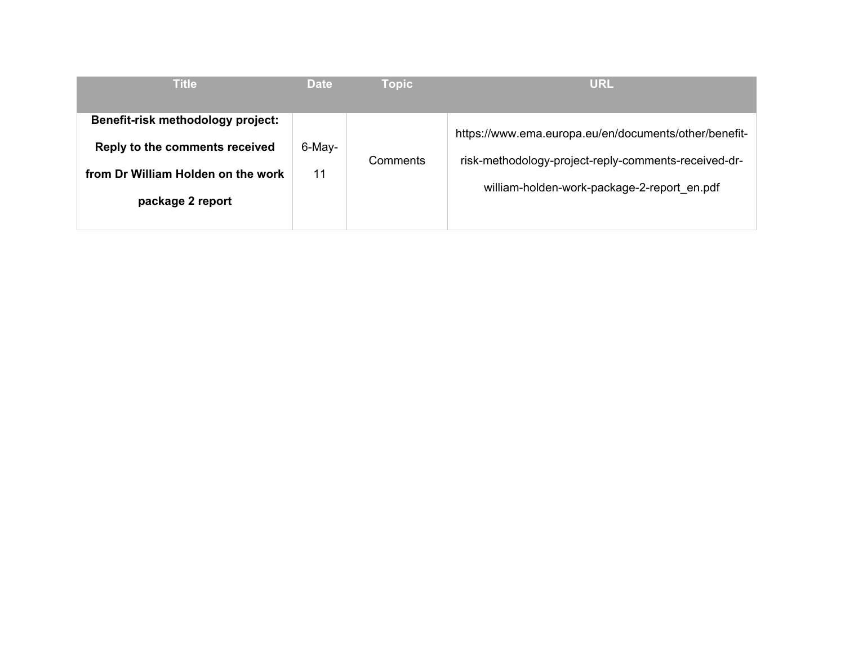| <b>Title</b>                                                                                                                  | <b>Date</b>  | <b>Topic</b> | <b>URL</b>                                                                                                                                                   |
|-------------------------------------------------------------------------------------------------------------------------------|--------------|--------------|--------------------------------------------------------------------------------------------------------------------------------------------------------------|
| Benefit-risk methodology project:<br>Reply to the comments received<br>from Dr William Holden on the work<br>package 2 report | 6-May-<br>11 | Comments     | https://www.ema.europa.eu/en/documents/other/benefit-<br>risk-methodology-project-reply-comments-received-dr-<br>william-holden-work-package-2-report en.pdf |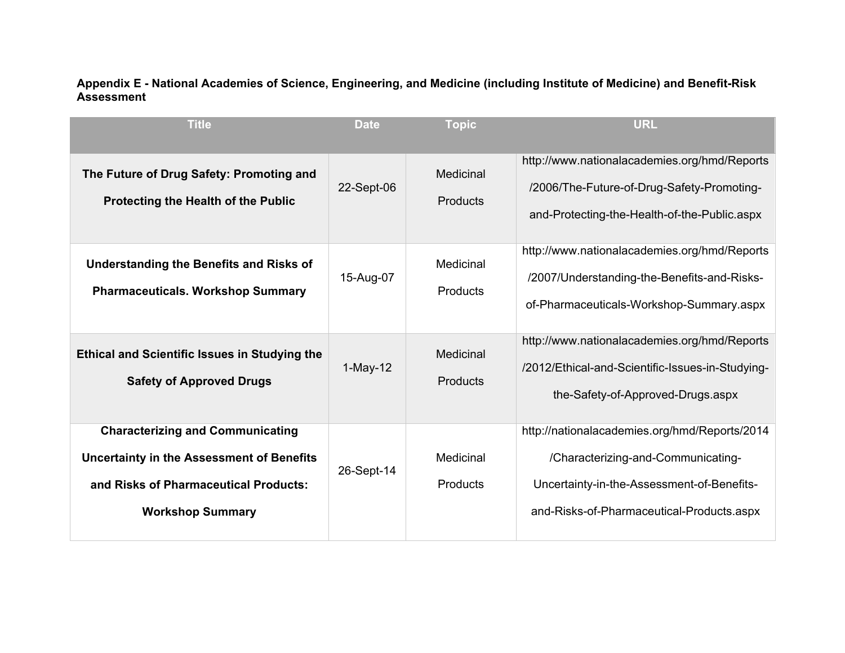#### **Appendix E - National Academies of Science, Engineering, and Medicine (including Institute of Medicine) and Benefit-Risk Assessment**

| <b>Title</b>                                                                                                                                                    | <b>Date</b> | <b>Topic</b>                        | <b>URL</b>                                                                                                                                                                     |
|-----------------------------------------------------------------------------------------------------------------------------------------------------------------|-------------|-------------------------------------|--------------------------------------------------------------------------------------------------------------------------------------------------------------------------------|
| The Future of Drug Safety: Promoting and<br><b>Protecting the Health of the Public</b>                                                                          | 22-Sept-06  | Medicinal<br>Products               | http://www.nationalacademies.org/hmd/Reports<br>/2006/The-Future-of-Drug-Safety-Promoting-<br>and-Protecting-the-Health-of-the-Public.aspx                                     |
| <b>Understanding the Benefits and Risks of</b><br><b>Pharmaceuticals. Workshop Summary</b>                                                                      | 15-Aug-07   | Medicinal<br>Products               | http://www.nationalacademies.org/hmd/Reports<br>/2007/Understanding-the-Benefits-and-Risks-<br>of-Pharmaceuticals-Workshop-Summary.aspx                                        |
| <b>Ethical and Scientific Issues in Studying the</b><br><b>Safety of Approved Drugs</b>                                                                         | $1-May-12$  | <b>Medicinal</b><br><b>Products</b> | http://www.nationalacademies.org/hmd/Reports<br>/2012/Ethical-and-Scientific-Issues-in-Studying-<br>the-Safety-of-Approved-Drugs.aspx                                          |
| <b>Characterizing and Communicating</b><br><b>Uncertainty in the Assessment of Benefits</b><br>and Risks of Pharmaceutical Products:<br><b>Workshop Summary</b> | 26-Sept-14  | Medicinal<br>Products               | http://nationalacademies.org/hmd/Reports/2014<br>/Characterizing-and-Communicating-<br>Uncertainty-in-the-Assessment-of-Benefits-<br>and-Risks-of-Pharmaceutical-Products.aspx |